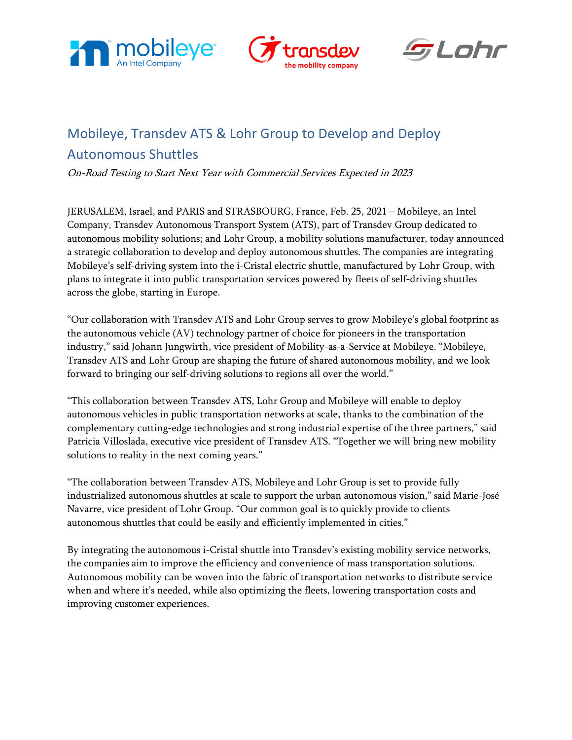





# Mobileye, Transdev ATS & Lohr Group to Develop and Deploy Autonomous Shuttles

On-Road Testing to Start Next Year with Commercial Services Expected in 2023

JERUSALEM, Israel, and PARIS and STRASBOURG, France, Feb. 25, 2021 – Mobileye, an Intel Company, Transdev Autonomous Transport System (ATS), part of Transdev Group dedicated to autonomous mobility solutions; and Lohr Group, a mobility solutions manufacturer, today announced a strategic collaboration to develop and deploy autonomous shuttles. The companies are integrating Mobileye's self-driving system into the i-Cristal electric shuttle, manufactured by Lohr Group, with plans to integrate it into public transportation services powered by fleets of self-driving shuttles across the globe, starting in Europe.

"Our collaboration with Transdev ATS and Lohr Group serves to grow Mobileye's global footprint as the autonomous vehicle (AV) technology partner of choice for pioneers in the transportation industry," said Johann Jungwirth, vice president of Mobility-as-a-Service at Mobileye. "Mobileye, Transdev ATS and Lohr Group are shaping the future of shared autonomous mobility, and we look forward to bringing our self-driving solutions to regions all over the world."

"This collaboration between Transdev ATS, Lohr Group and Mobileye will enable to deploy autonomous vehicles in public transportation networks at scale, thanks to the combination of the complementary cutting-edge technologies and strong industrial expertise of the three partners," said Patricia Villoslada, executive vice president of Transdev ATS. "Together we will bring new mobility solutions to reality in the next coming years."

"The collaboration between Transdev ATS, Mobileye and Lohr Group is set to provide fully industrialized autonomous shuttles at scale to support the urban autonomous vision," said Marie-José Navarre, vice president of Lohr Group. "Our common goal is to quickly provide to clients autonomous shuttles that could be easily and efficiently implemented in cities."

By integrating the autonomous i-Cristal shuttle into Transdev's existing mobility service networks, the companies aim to improve the efficiency and convenience of mass transportation solutions. Autonomous mobility can be woven into the fabric of transportation networks to distribute service when and where it's needed, while also optimizing the fleets, lowering transportation costs and improving customer experiences.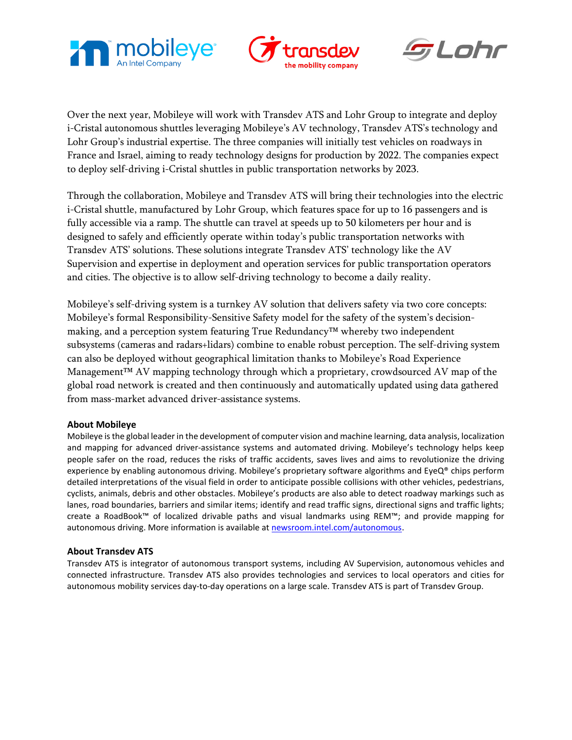





Over the next year, Mobileye will work with Transdev ATS and Lohr Group to integrate and deploy i-Cristal autonomous shuttles leveraging Mobileye's AV technology, Transdev ATS's technology and Lohr Group's industrial expertise. The three companies will initially test vehicles on roadways in France and Israel, aiming to ready technology designs for production by 2022. The companies expect to deploy self-driving i-Cristal shuttles in public transportation networks by 2023.

Through the collaboration, Mobileye and Transdev ATS will bring their technologies into the electric i-Cristal shuttle, manufactured by Lohr Group, which features space for up to 16 passengers and is fully accessible via a ramp. The shuttle can travel at speeds up to 50 kilometers per hour and is designed to safely and efficiently operate within today's public transportation networks with Transdev ATS' solutions. These solutions integrate Transdev ATS' technology like the AV Supervision and expertise in deployment and operation services for public transportation operators and cities. The objective is to allow self-driving technology to become a daily reality.

Mobileye's self-driving system is a turnkey AV solution that delivers safety via two core concepts: Mobileye's formal Responsibility-Sensitive Safety model for the safety of the system's decisionmaking, and a perception system featuring True Redundancy™ whereby two independent subsystems (cameras and radars+lidars) combine to enable robust perception. The self-driving system can also be deployed without geographical limitation thanks to Mobileye's Road Experience Management™ AV mapping technology through which a proprietary, crowdsourced AV map of the global road network is created and then continuously and automatically updated using data gathered from mass-market advanced driver-assistance systems.

## **About Mobileye**

Mobileye isthe global leader in the development of computer vision and machine learning, data analysis, localization and mapping for advanced driver-assistance systems and automated driving. Mobileye's technology helps keep people safer on the road, reduces the risks of traffic accidents, saves lives and aims to revolutionize the driving experience by enabling autonomous driving. Mobileye's proprietary software algorithms and EyeQ® chips perform detailed interpretations of the visual field in order to anticipate possible collisions with other vehicles, pedestrians, cyclists, animals, debris and other obstacles. Mobileye's products are also able to detect roadway markings such as lanes, road boundaries, barriers and similar items; identify and read traffic signs, directional signs and traffic lights; create a RoadBook™ of localized drivable paths and visual landmarks using REM™; and provide mapping for autonomous driving. More information is available at [newsroom.intel.com/autonomous.](https://newsroom.intel.com/press-kits/autonomous-driving-intel/#gs.k2r0j8)

## **About Transdev ATS**

Transdev ATS is integrator of autonomous transport systems, including AV Supervision, autonomous vehicles and connected infrastructure. Transdev ATS also provides technologies and services to local operators and cities for autonomous mobility services day-to-day operations on a large scale. Transdev ATS is part of Transdev Group.